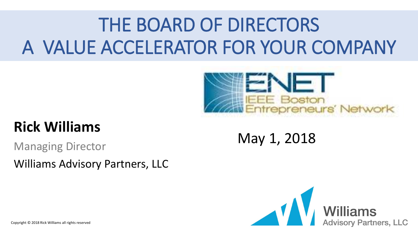# THE BOARD OF DIRECTORS A VALUE ACCELERATOR FOR YOUR COMPANY



#### **Rick Williams**

Managing Director Williams Advisory Partners, LLC

#### May 1, 2018

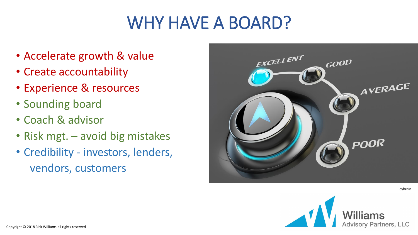## WHY HAVE A BOARD?

- Accelerate growth & value
- Create accountability
- Experience & resources
- Sounding board
- Coach & advisor
- Risk mgt. avoid big mistakes
- Credibility investors, lenders, vendors, customers



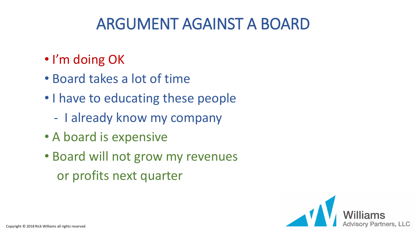### ARGUMENT AGAINST A BOARD

- I'm doing OK
- Board takes a lot of time
- I have to educating these people
	- I already know my company
- A board is expensive
- Board will not grow my revenues or profits next quarter

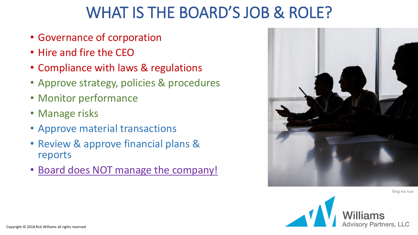#### WHAT IS THE BOARD'S JOB & ROLE?

- Governance of corporation
- Hire and fire the CEO
- Compliance with laws & regulations
- Approve strategy, policies & procedures
- Monitor performance
- Manage risks
- Approve material transactions
- Review & approve financial plans & reports
- Board does NOT manage the company!



fang xia nuo

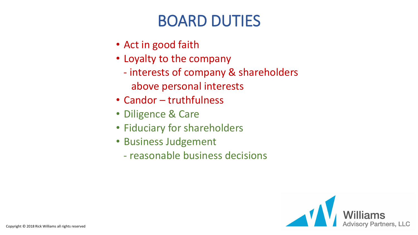### BOARD DUTIES

- Act in good faith
- Loyalty to the company
	- interests of company & shareholders
		- above personal interests
- Candor truthfulness
- Diligence & Care
- Fiduciary for shareholders
- Business Judgement
	- reasonable business decisions

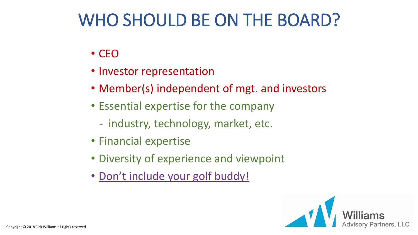## WHO SHOULD BE ON THE BOARD?

- CEO
- Investor representation
- Member(s) independent of mgt. and investors
- Essential expertise for the company
	- industry, technology, market, etc.
- Financial expertise
- Diversity of experience and viewpoint
- Don't include your golf buddy!

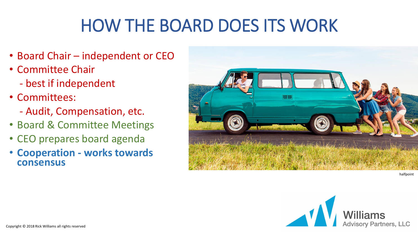# HOW THE BOARD DOES ITS WORK

- Board Chair independent or CEO
- Committee Chair
	- best if independent
- Committees:
	- Audit, Compensation, etc.
- Board & Committee Meetings
- CEO prepares board agenda
- **Cooperation - works towards consensus**



halfpoint

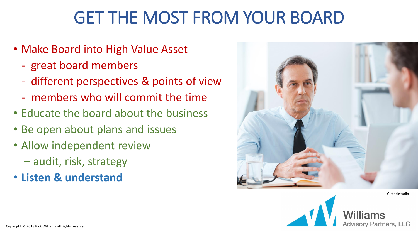## GET THE MOST FROM YOUR BOARD

- Make Board into High Value Asset
	- great board members
	- different perspectives & points of view
	- members who will commit the time
- Educate the board about the business
- Be open about plans and issues
- Allow independent review
	- audit, risk, strategy
- **Listen & understand**



G-stockstudio

ory Partners, LLC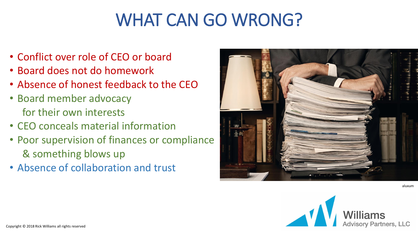## WHAT CAN GO WRONG?

- Conflict over role of CEO or board
- Board does not do homework
- Absence of honest feedback to the CEO
- Board member advocacy for their own interests
- CEO conceals material information
- Poor supervision of finances or compliance & something blows up
- Absence of collaboration and trust



aluxum

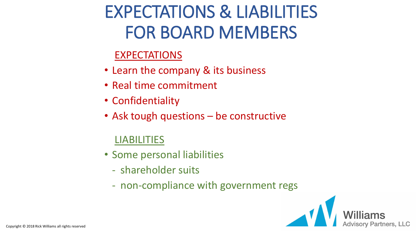# EXPECTATIONS & LIABILITIES FOR BOARD MEMBERS

#### EXPECTATIONS

- Learn the company & its business
- Real time commitment
- Confidentiality
- Ask tough questions be constructive

#### LIABILITIES

- Some personal liabilities
	- shareholder suits
	- non-compliance with government regs

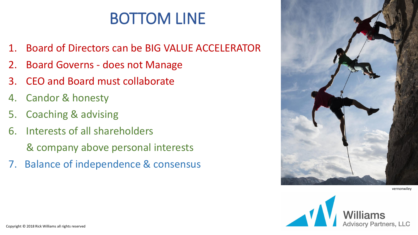### BOTTOM LINE

- 1. Board of Directors can be BIG VALUE ACCELERATOR
- 2. Board Governs does not Manage
- 3. CEO and Board must collaborate
- 4. Candor & honesty
- 5. Coaching & advising
- 6. Interests of all shareholders
	- & company above personal interests
- 7. Balance of independence & consensus



vernonwiley